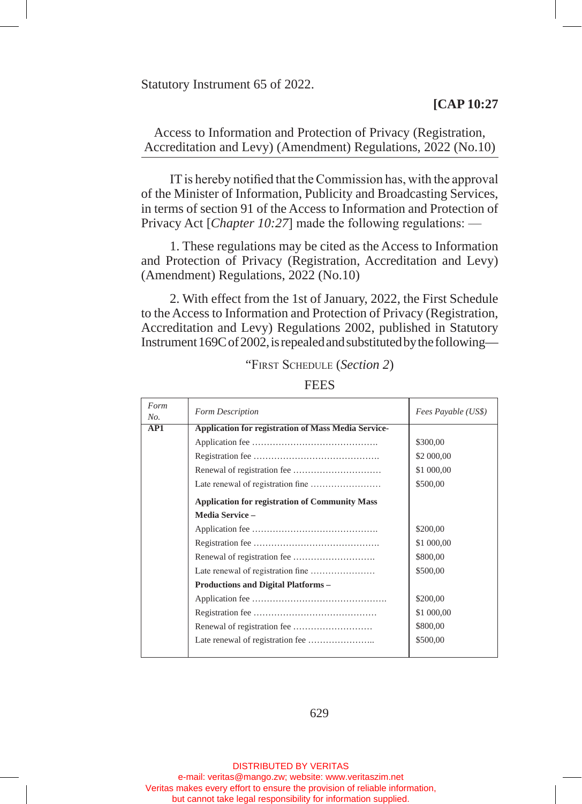Statutory Instrument 65 of 2022.

## **[CAP 10:27**

Access to Information and Protection of Privacy (Registration, Accreditation and Levy) (Amendment) Regulations, 2022 (No.10)

IT is hereby notified that the Commission has, with the approval of the Minister of Information, Publicity and Broadcasting Services, in terms of section 91 of the Access to Information and Protection of Privacy Act [*Chapter 10:27*] made the following regulations: —

1. These regulations may be cited as the Access to Information and Protection of Privacy (Registration, Accreditation and Levy) (Amendment) Regulations, 2022 (No.10)

2. With effect from the 1st of January, 2022, the First Schedule to the Access to Information and Protection of Privacy (Registration, Accreditation and Levy) Regulations 2002, published in Statutory Instrument 169C of 2002, is repealed and substituted by the following—

| Form<br>No. | Form Description                                           | Fees Payable (US\$) |
|-------------|------------------------------------------------------------|---------------------|
| AP1         | <b>Application for registration of Mass Media Service-</b> |                     |
|             |                                                            | \$300,00            |
|             |                                                            | \$2 000,00          |
|             |                                                            | \$1 000,00          |
|             |                                                            | \$500,00            |
|             | <b>Application for registration of Community Mass</b>      |                     |
|             | <b>Media Service -</b>                                     |                     |
|             |                                                            | \$200,00            |
|             |                                                            | \$1 000,00          |
|             |                                                            | \$800,00            |
|             |                                                            | \$500,00            |
|             | <b>Productions and Digital Platforms -</b>                 |                     |
|             |                                                            | \$200,00            |
|             |                                                            | \$1 000,00          |
|             |                                                            | \$800,00            |
|             |                                                            | \$500,00            |
|             |                                                            |                     |

"First Schedule (*Section 2*)

**FEES** 

629

DISTRIBUTED BY VERITAS e-mail: veritas@mango.zw; website: www.veritaszim.net Veritas makes every effort to ensure the provision of reliable information, but cannot take legal responsibility for information supplied.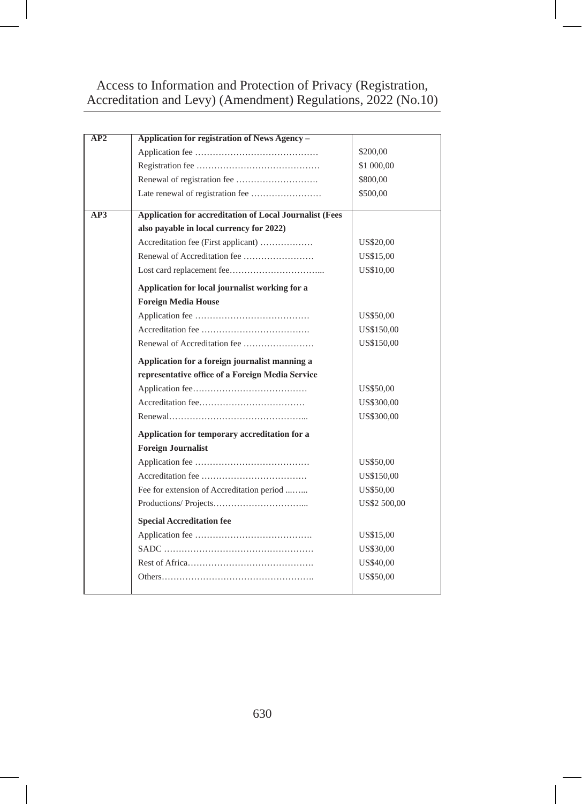## Access to Information and Protection of Privacy (Registration, Accreditation and Levy) (Amendment) Regulations, 2022 (No.10)

| AP2 | Application for registration of News Agency -           |              |
|-----|---------------------------------------------------------|--------------|
|     |                                                         | \$200,00     |
|     |                                                         | \$1 000,00   |
|     |                                                         | \$800,00     |
|     |                                                         | \$500,00     |
|     |                                                         |              |
| AP3 | Application for accreditation of Local Journalist (Fees |              |
|     | also payable in local currency for 2022)                |              |
|     | Accreditation fee (First applicant)                     | US\$20,00    |
|     |                                                         | US\$15,00    |
|     |                                                         | US\$10,00    |
|     | Application for local journalist working for a          |              |
|     | <b>Foreign Media House</b>                              |              |
|     |                                                         | US\$50,00    |
|     |                                                         | US\$150,00   |
|     |                                                         | US\$150,00   |
|     | Application for a foreign journalist manning a          |              |
|     | representative office of a Foreign Media Service        |              |
|     |                                                         | US\$50,00    |
|     |                                                         | US\$300,00   |
|     |                                                         | US\$300,00   |
|     | Application for temporary accreditation for a           |              |
|     | <b>Foreign Journalist</b>                               |              |
|     |                                                         | US\$50,00    |
|     |                                                         | US\$150,00   |
|     | Fee for extension of Accreditation period               | US\$50,00    |
|     |                                                         | US\$2 500,00 |
|     | <b>Special Accreditation fee</b>                        |              |
|     |                                                         | US\$15,00    |
|     |                                                         | US\$30,00    |
|     |                                                         | US\$40,00    |
|     |                                                         | US\$50,00    |
|     |                                                         |              |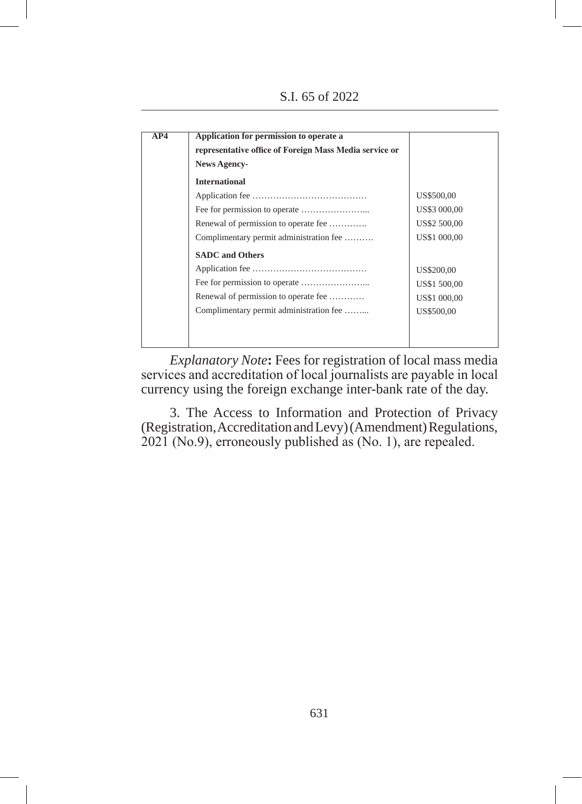S.I. 65 of 2022

| <b>International</b>                    |              |
|-----------------------------------------|--------------|
|                                         |              |
|                                         | US\$500,00   |
|                                         | US\$3 000,00 |
| Renewal of permission to operate fee    | US\$2 500,00 |
| Complimentary permit administration fee | US\$1 000,00 |
| <b>SADC</b> and Others                  |              |
|                                         | US\$200,00   |
|                                         | US\$1 500,00 |
| Renewal of permission to operate fee    | US\$1 000,00 |
| Complimentary permit administration fee | US\$500.00   |

*Explanatory Note*: Fees for registration of local mass media services and accreditation of local journalists are payable in local currency using the foreign exchange inter-bank rate of the day.

3. The Access to Information and Protection of Privacy (Registration, Accreditation and Levy) (Amendment) Regulations, 2021 (No.9), erroneously published as (No. 1), are repealed.